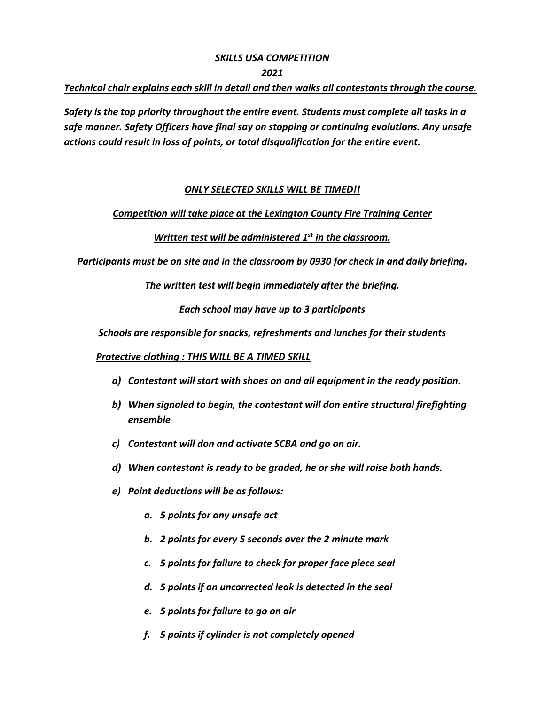## *SKILLS USA COMPETITION*

#### *2021*

*Technical chair explains each skill in detail and then walks all contestants through the course.*

*Safety is the top priority throughout the entire event. Students must complete all tasks in a safe manner. Safety Officers have final say on stopping or continuing evolutions. Any unsafe actions could result in loss of points, or total disqualification for the entire event.*

## *ONLY SELECTED SKILLS WILL BE TIMED!!*

## *Competition will take place at the Lexington County Fire Training Center*

# *Written test will be administered 1st in the classroom.*

*Participants must be on site and in the classroom by 0930 for check in and daily briefing.* 

*The written test will begin immediately after the briefing.* 

*Each school may have up to 3 participants*

*Schools are responsible for snacks, refreshments and lunches for their students*

*Protective clothing : THIS WILL BE A TIMED SKILL*

- *a) Contestant will start with shoes on and all equipment in the ready position.*
- *b) When signaled to begin, the contestant will don entire structural firefighting ensemble*
- *c) Contestant will don and activate SCBA and go on air.*
- *d) When contestant is ready to be graded, he or she will raise both hands.*
- *e) Point deductions will be as follows:*
	- *a. 5 points for any unsafe act*
	- *b. 2 points for every 5 seconds over the 2 minute mark*
	- *c. 5 points for failure to check for proper face piece seal*
	- *d. 5 points if an uncorrected leak is detected in the seal*
	- *e. 5 points for failure to go on air*
	- *f. 5 points if cylinder is not completely opened*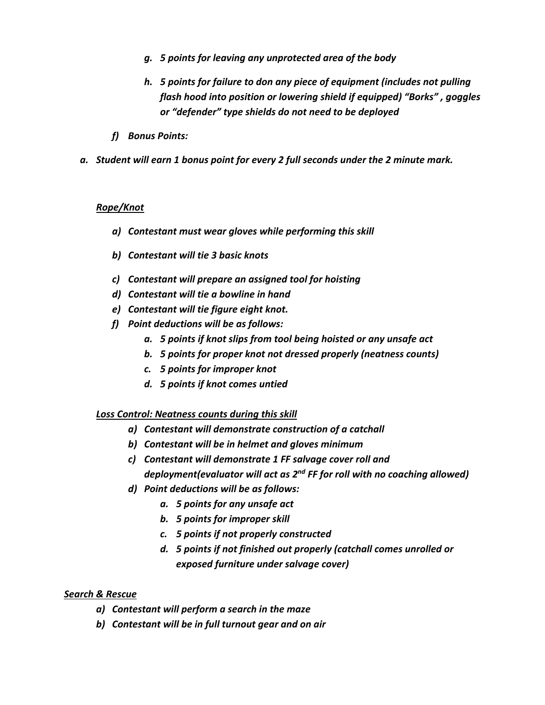- *g. 5 points for leaving any unprotected area of the body*
- *h. 5 points for failure to don any piece of equipment (includes not pulling flash hood into position or lowering shield if equipped) "Borks" , goggles or "defender" type shields do not need to be deployed*
- *f) Bonus Points:*
- *a. Student will earn 1 bonus point for every 2 full seconds under the 2 minute mark.*

### *Rope/Knot*

- *a) Contestant must wear gloves while performing this skill*
- *b) Contestant will tie 3 basic knots*
- *c) Contestant will prepare an assigned tool for hoisting*
- *d) Contestant will tie a bowline in hand*
- *e) Contestant will tie figure eight knot.*
- *f) Point deductions will be as follows:*
	- *a. 5 points if knot slips from tool being hoisted or any unsafe act*
	- *b. 5 points for proper knot not dressed properly (neatness counts)*
	- *c. 5 points for improper knot*
	- *d. 5 points if knot comes untied*

#### *Loss Control: Neatness counts during this skill*

- *a) Contestant will demonstrate construction of a catchall*
- *b) Contestant will be in helmet and gloves minimum*
- *c) Contestant will demonstrate 1 FF salvage cover roll and deployment(evaluator will act as 2nd FF for roll with no coaching allowed)*
- *d) Point deductions will be as follows:*
	- *a. 5 points for any unsafe act*
	- *b. 5 points for improper skill*
	- *c. 5 points if not properly constructed*
	- *d. 5 points if not finished out properly (catchall comes unrolled or exposed furniture under salvage cover)*

#### *Search & Rescue*

- *a) Contestant will perform a search in the maze*
- *b) Contestant will be in full turnout gear and on air*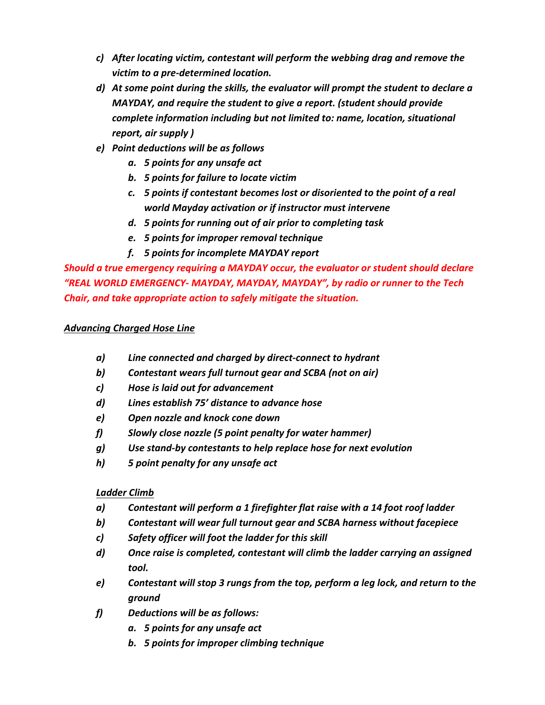- *c) After locating victim, contestant will perform the webbing drag and remove the victim to a pre-determined location.*
- *d) At some point during the skills, the evaluator will prompt the student to declare a MAYDAY, and require the student to give a report. (student should provide complete information including but not limited to: name, location, situational report, air supply )*
- *e) Point deductions will be as follows*
	- *a. 5 points for any unsafe act*
	- *b. 5 points for failure to locate victim*
	- *c. 5 points if contestant becomes lost or disoriented to the point of a real world Mayday activation or if instructor must intervene*
	- *d. 5 points for running out of air prior to completing task*
	- *e. 5 points for improper removal technique*
	- *f. 5 points for incomplete MAYDAY report*

*Should a true emergency requiring a MAYDAY occur, the evaluator or student should declare "REAL WORLD EMERGENCY- MAYDAY, MAYDAY, MAYDAY", by radio or runner to the Tech Chair, and take appropriate action to safely mitigate the situation.* 

# *Advancing Charged Hose Line*

- *a) Line connected and charged by direct-connect to hydrant*
- *b) Contestant wears full turnout gear and SCBA (not on air)*
- *c) Hose is laid out for advancement*
- *d) Lines establish 75' distance to advance hose*
- *e) Open nozzle and knock cone down*
- *f) Slowly close nozzle (5 point penalty for water hammer)*
- *g) Use stand-by contestants to help replace hose for next evolution*
- *h) 5 point penalty for any unsafe act*

# *Ladder Climb*

- *a) Contestant will perform a 1 firefighter flat raise with a 14 foot roof ladder*
- *b) Contestant will wear full turnout gear and SCBA harness without facepiece*
- *c) Safety officer will foot the ladder for this skill*
- *d) Once raise is completed, contestant will climb the ladder carrying an assigned tool.*
- *e) Contestant will stop 3 rungs from the top, perform a leg lock, and return to the ground*
- *f) Deductions will be as follows:*
	- *a. 5 points for any unsafe act*
	- *b. 5 points for improper climbing technique*